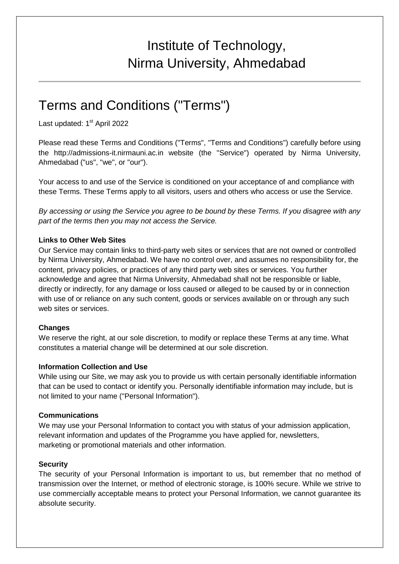# Institute of Technology, Nirma University, Ahmedabad

# Terms and Conditions ("Terms")

Last updated: 1<sup>st</sup> April 2022

Please read these Terms and Conditions ("Terms", "Terms and Conditions") carefully before using the http://admissions-it.nirmauni.ac.in website (the "Service") operated by Nirma University, Ahmedabad ("us", "we", or "our").

Your access to and use of the Service is conditioned on your acceptance of and compliance with these Terms. These Terms apply to all visitors, users and others who access or use the Service.

By accessing or using the Service you agree to be bound by these Terms. If you disagree with any part of the terms then you may not access the Service.

### **Links to Other Web Sites**

Our Service may contain links to third-party web sites or services that are not owned or controlled by Nirma University, Ahmedabad. We have no control over, and assumes no responsibility for, the content, privacy policies, or practices of any third party web sites or services. You further acknowledge and agree that Nirma University, Ahmedabad shall not be responsible or liable, directly or indirectly, for any damage or loss caused or alleged to be caused by or in connection with use of or reliance on any such content, goods or services available on or through any such web sites or services.

## **Changes**

We reserve the right, at our sole discretion, to modify or replace these Terms at any time. What constitutes a material change will be determined at our sole discretion.

#### **Information Collection and Use**

While using our Site, we may ask you to provide us with certain personally identifiable information that can be used to contact or identify you. Personally identifiable information may include, but is not limited to your name ("Personal Information").

## **Communications**

We may use your Personal Information to contact you with status of your admission application, relevant information and updates of the Programme you have applied for, newsletters, marketing or promotional materials and other information.

#### **Security**

The security of your Personal Information is important to us, but remember that no method of transmission over the Internet, or method of electronic storage, is 100% secure. While we strive to use commercially acceptable means to protect your Personal Information, we cannot guarantee its absolute security.